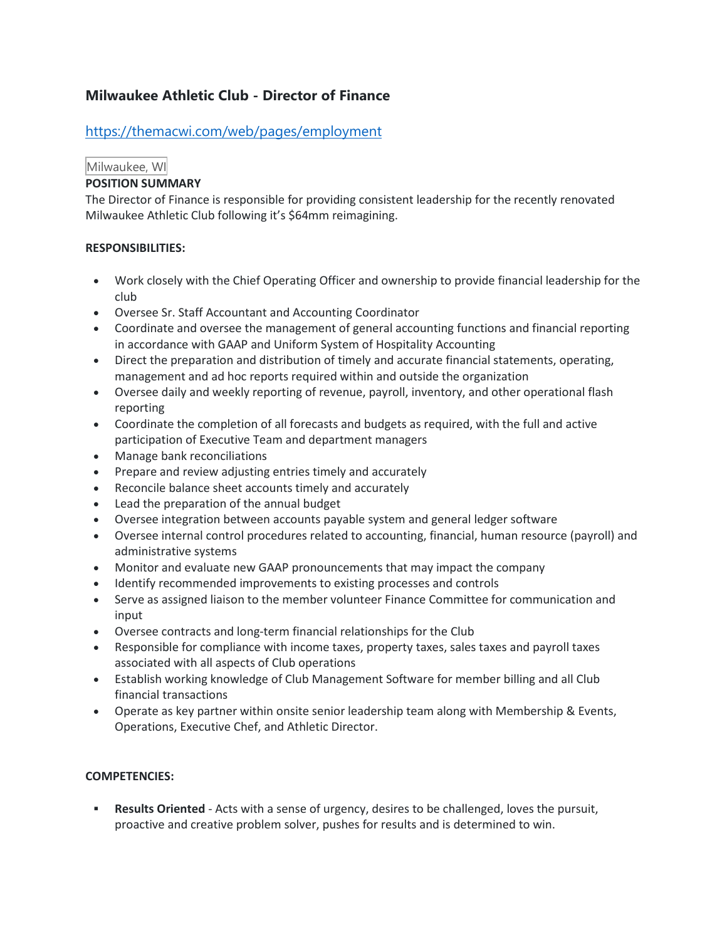# **Milwaukee Athletic Club - Director of Finance**

# <https://themacwi.com/web/pages/employment>

#### Milwaukee, WI

## **POSITION SUMMARY**

The Director of Finance is responsible for providing consistent leadership for the recently renovated Milwaukee Athletic Club following it's \$64mm reimagining.

#### **RESPONSIBILITIES:**

- Work closely with the Chief Operating Officer and ownership to provide financial leadership for the club
- Oversee Sr. Staff Accountant and Accounting Coordinator
- Coordinate and oversee the management of general accounting functions and financial reporting in accordance with GAAP and Uniform System of Hospitality Accounting
- Direct the preparation and distribution of timely and accurate financial statements, operating, management and ad hoc reports required within and outside the organization
- Oversee daily and weekly reporting of revenue, payroll, inventory, and other operational flash reporting
- Coordinate the completion of all forecasts and budgets as required, with the full and active participation of Executive Team and department managers
- Manage bank reconciliations
- Prepare and review adjusting entries timely and accurately
- Reconcile balance sheet accounts timely and accurately
- Lead the preparation of the annual budget
- Oversee integration between accounts payable system and general ledger software
- Oversee internal control procedures related to accounting, financial, human resource (payroll) and administrative systems
- Monitor and evaluate new GAAP pronouncements that may impact the company
- Identify recommended improvements to existing processes and controls
- Serve as assigned liaison to the member volunteer Finance Committee for communication and input
- Oversee contracts and long-term financial relationships for the Club
- Responsible for compliance with income taxes, property taxes, sales taxes and payroll taxes associated with all aspects of Club operations
- Establish working knowledge of Club Management Software for member billing and all Club financial transactions
- Operate as key partner within onsite senior leadership team along with Membership & Events, Operations, Executive Chef, and Athletic Director.

#### **COMPETENCIES:**

 **Results Oriented** - Acts with a sense of urgency, desires to be challenged, loves the pursuit, proactive and creative problem solver, pushes for results and is determined to win.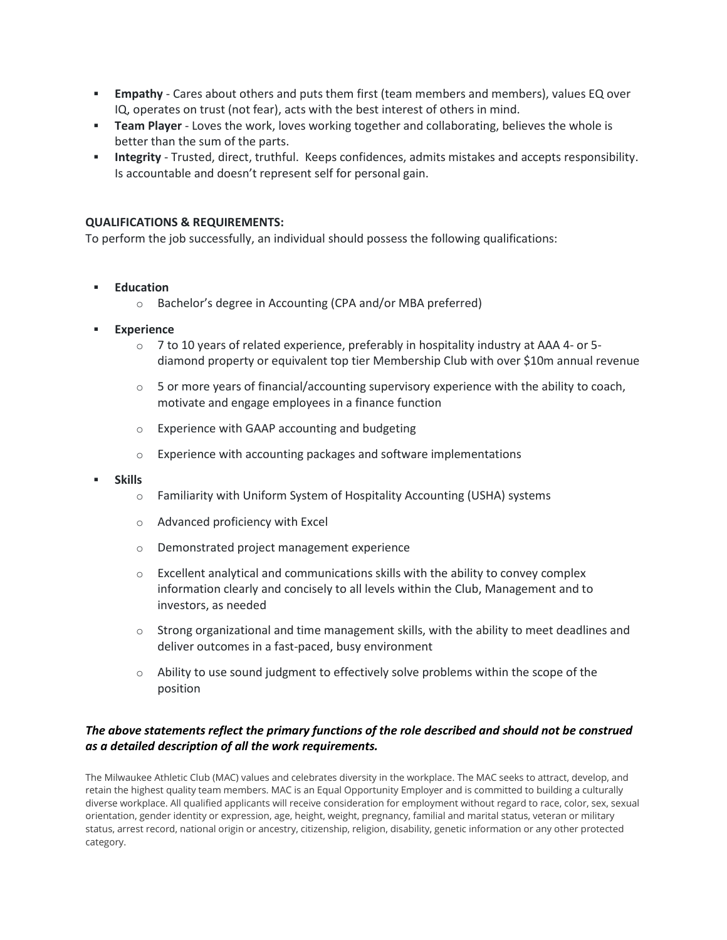- **Empathy** Cares about others and puts them first (team members and members), values EQ over IQ, operates on trust (not fear), acts with the best interest of others in mind.
- **Team Player** Loves the work, loves working together and collaborating, believes the whole is better than the sum of the parts.
- **Integrity** Trusted, direct, truthful. Keeps confidences, admits mistakes and accepts responsibility. Is accountable and doesn't represent self for personal gain.

#### **QUALIFICATIONS & REQUIREMENTS:**

To perform the job successfully, an individual should possess the following qualifications:

- **Education**
	- o Bachelor's degree in Accounting (CPA and/or MBA preferred)
- **Experience**
	- $\circ$  7 to 10 years of related experience, preferably in hospitality industry at AAA 4- or 5diamond property or equivalent top tier Membership Club with over \$10m annual revenue
	- $\circ$  5 or more years of financial/accounting supervisory experience with the ability to coach, motivate and engage employees in a finance function
	- o Experience with GAAP accounting and budgeting
	- $\circ$  Experience with accounting packages and software implementations
- **Skills**
	- o Familiarity with Uniform System of Hospitality Accounting (USHA) systems
	- o Advanced proficiency with Excel
	- o Demonstrated project management experience
	- $\circ$  Excellent analytical and communications skills with the ability to convey complex information clearly and concisely to all levels within the Club, Management and to investors, as needed
	- $\circ$  Strong organizational and time management skills, with the ability to meet deadlines and deliver outcomes in a fast-paced, busy environment
	- o Ability to use sound judgment to effectively solve problems within the scope of the position

## *The above statements reflect the primary functions of the role described and should not be construed as a detailed description of all the work requirements.*

The Milwaukee Athletic Club (MAC) values and celebrates diversity in the workplace. The MAC seeks to attract, develop, and retain the highest quality team members. MAC is an Equal Opportunity Employer and is committed to building a culturally diverse workplace. All qualified applicants will receive consideration for employment without regard to race, color, sex, sexual orientation, gender identity or expression, age, height, weight, pregnancy, familial and marital status, veteran or military status, arrest record, national origin or ancestry, citizenship, religion, disability, genetic information or any other protected category.